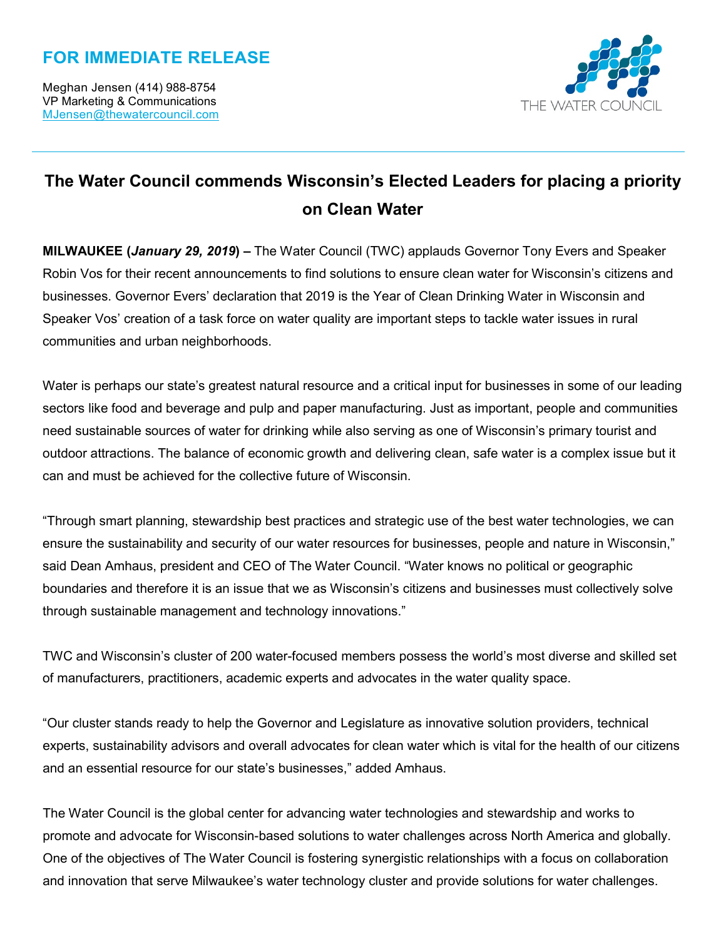## **FOR IMMEDIATE RELEASE**



## **The Water Council commends Wisconsin's Elected Leaders for placing a priority on Clean Water**

**MILWAUKEE (***January 29, 2019***) –** The Water Council (TWC) applauds Governor Tony Evers and Speaker Robin Vos for their recent announcements to find solutions to ensure clean water for Wisconsin's citizens and businesses. Governor Evers' declaration that 2019 is the Year of Clean Drinking Water in Wisconsin and Speaker Vos' creation of a task force on water quality are important steps to tackle water issues in rural communities and urban neighborhoods.

Water is perhaps our state's greatest natural resource and a critical input for businesses in some of our leading sectors like food and beverage and pulp and paper manufacturing. Just as important, people and communities need sustainable sources of water for drinking while also serving as one of Wisconsin's primary tourist and outdoor attractions. The balance of economic growth and delivering clean, safe water is a complex issue but it can and must be achieved for the collective future of Wisconsin.

"Through smart planning, stewardship best practices and strategic use of the best water technologies, we can ensure the sustainability and security of our water resources for businesses, people and nature in Wisconsin," said Dean Amhaus, president and CEO of The Water Council. "Water knows no political or geographic boundaries and therefore it is an issue that we as Wisconsin's citizens and businesses must collectively solve through sustainable management and technology innovations."

TWC and Wisconsin's cluster of 200 water-focused members possess the world's most diverse and skilled set of manufacturers, practitioners, academic experts and advocates in the water quality space.

"Our cluster stands ready to help the Governor and Legislature as innovative solution providers, technical experts, sustainability advisors and overall advocates for clean water which is vital for the health of our citizens and an essential resource for our state's businesses," added Amhaus.

The Water Council is the global center for advancing water technologies and stewardship and works to promote and advocate for Wisconsin-based solutions to water challenges across North America and globally. One of the objectives of The Water Council is fostering synergistic relationships with a focus on collaboration and innovation that serve Milwaukee's water technology cluster and provide solutions for water challenges.